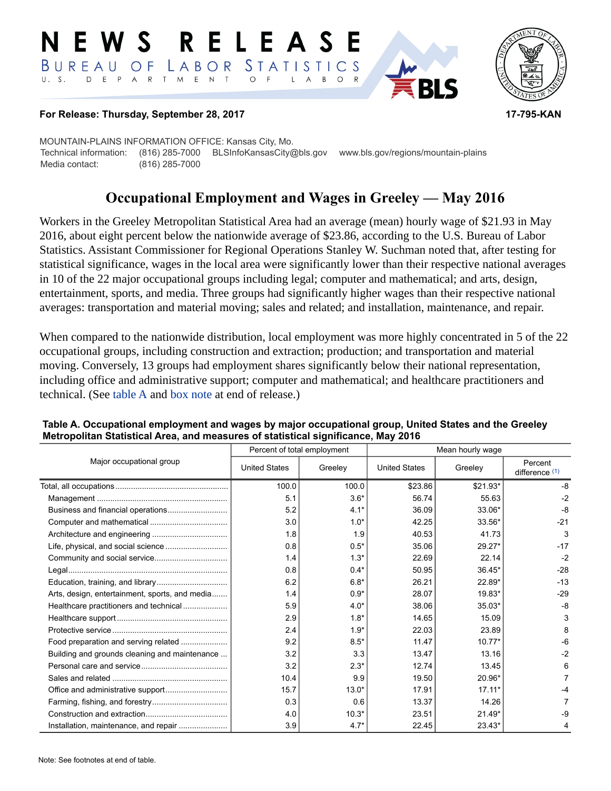#### RELEASE E W S LABOR STATISTICS BUREAU OF D E P A R T M E N T  $\circ$  $U. S.$  $\mathsf{L}$  $\overline{A}$ B  $\circ$



#### **For Release: Thursday, September 28, 2017 17-795-KAN**

MOUNTAIN-PLAINS INFORMATION OFFICE: Kansas City, Mo. Technical information: (816) 285-7000 BLSInfoKansasCity@bls.gov www.bls.gov/regions/mountain-plains Media contact: (816) 285-7000

# **Occupational Employment and Wages in Greeley — May 2016**

Workers in the Greeley Metropolitan Statistical Area had an average (mean) hourly wage of \$21.93 in May 2016, about eight percent below the nationwide average of \$23.86, according to the U.S. Bureau of Labor Statistics. Assistant Commissioner for Regional Operations Stanley W. Suchman noted that, after testing for statistical significance, wages in the local area were significantly lower than their respective national averages in 10 of the 22 major occupational groups including legal; computer and mathematical; and arts, design, entertainment, sports, and media. Three groups had significantly higher wages than their respective national averages: transportation and material moving; sales and related; and installation, maintenance, and repair.

When compared to the nationwide distribution, local employment was more highly concentrated in 5 of the 22 occupational groups, including construction and extraction; production; and transportation and material moving. Conversely, 13 groups had employment shares significantly below their national representation, including office and administrative support; computer and mathematical; and healthcare practitioners and technical. (See table A and [box note](#page-2-0) at end of release.)

| Major occupational group                       | Percent of total employment |         | Mean hourly wage     |          |                           |  |
|------------------------------------------------|-----------------------------|---------|----------------------|----------|---------------------------|--|
|                                                | <b>United States</b>        | Greeley | <b>United States</b> | Greeley  | Percent<br>difference (1) |  |
|                                                | 100.0                       | 100.0   | \$23.86              | \$21.93* | -8                        |  |
|                                                | 5.1                         | $3.6*$  | 56.74                | 55.63    | $-2$                      |  |
|                                                | 5.2                         | $4.1*$  | 36.09                | 33.06*   | $-8$                      |  |
|                                                | 3.0                         | $1.0*$  | 42.25                | 33.56*   | $-21$                     |  |
|                                                | 1.8                         | 1.9     | 40.53                | 41.73    | 3                         |  |
|                                                | 0.8                         | $0.5*$  | 35.06                | 29.27*   | $-17$                     |  |
|                                                | 1.4                         | $1.3*$  | 22.69                | 22.14    | $-2$                      |  |
|                                                | 0.8                         | $0.4*$  | 50.95                | $36.45*$ | $-28$                     |  |
|                                                | 6.2                         | $6.8*$  | 26.21                | 22.89*   | $-13$                     |  |
| Arts, design, entertainment, sports, and media | 1.4                         | $0.9*$  | 28.07                | 19.83*   | $-29$                     |  |
| Healthcare practitioners and technical         | 5.9                         | $4.0*$  | 38.06                | $35.03*$ | $-8$                      |  |
|                                                | 2.9                         | $1.8*$  | 14.65                | 15.09    | 3                         |  |
|                                                | 2.4                         | $1.9*$  | 22.03                | 23.89    | 8                         |  |
| Food preparation and serving related           | 9.2                         | $8.5*$  | 11.47                | $10.77*$ | $-6$                      |  |
| Building and grounds cleaning and maintenance  | 3.2                         | 3.3     | 13.47                | 13.16    | $-2$                      |  |
|                                                | 3.2                         | $2.3*$  | 12.74                | 13.45    | 6                         |  |
|                                                | 10.4                        | 9.9     | 19.50                | 20.96*   |                           |  |
|                                                | 15.7                        | $13.0*$ | 17.91                | $17.11*$ |                           |  |
|                                                | 0.3                         | 0.6     | 13.37                | 14.26    |                           |  |
|                                                | 4.0                         | $10.3*$ | 23.51                | $21.49*$ | -9                        |  |
|                                                | 3.9                         | $4.7*$  | 22.45                | 23.43*   |                           |  |

### **Table A. Occupational employment and wages by major occupational group, United States and the Greeley Metropolitan Statistical Area, and measures of statistical significance, May 2016**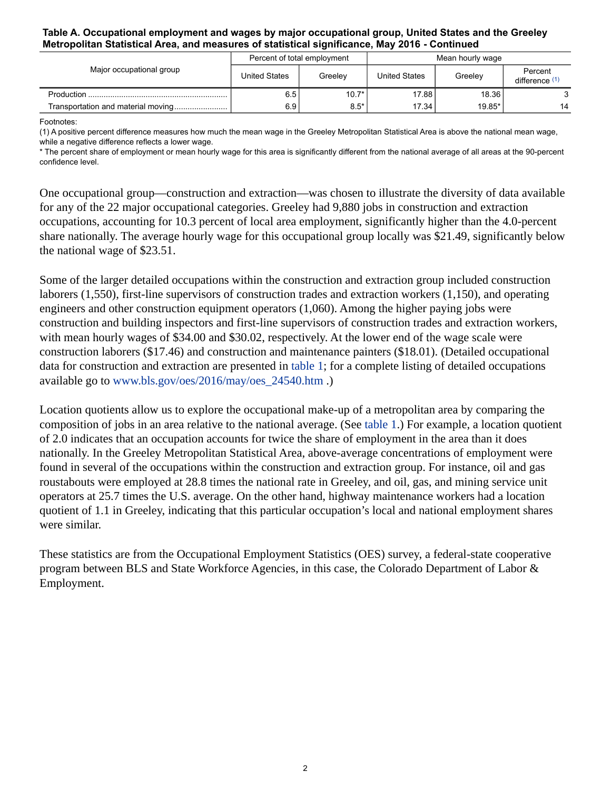#### **Table A. Occupational employment and wages by major occupational group, United States and the Greeley Metropolitan Statistical Area, and measures of statistical significance, May 2016 - Continued**

| Major occupational group            |                      | Percent of total employment | Mean hourly wage     |         |                           |
|-------------------------------------|----------------------|-----------------------------|----------------------|---------|---------------------------|
|                                     | <b>United States</b> | Greeley                     | <b>United States</b> | Greelev | Percent<br>difference (1) |
|                                     | 6.5                  | $10.7*$                     | 17.88                | 18.36   |                           |
| Transportation and material moving! | 6.9                  | $8.5*$                      | 17.34                | 19.85*  | 14                        |

Footnotes:

<span id="page-1-0"></span>(1) A positive percent difference measures how much the mean wage in the Greeley Metropolitan Statistical Area is above the national mean wage, while a negative difference reflects a lower wage.

\* The percent share of employment or mean hourly wage for this area is significantly different from the national average of all areas at the 90-percent confidence level.

One occupational group—construction and extraction—was chosen to illustrate the diversity of data available for any of the 22 major occupational categories. Greeley had 9,880 jobs in construction and extraction occupations, accounting for 10.3 percent of local area employment, significantly higher than the 4.0-percent share nationally. The average hourly wage for this occupational group locally was \$21.49, significantly below the national wage of \$23.51.

Some of the larger detailed occupations within the construction and extraction group included construction laborers (1,550), first-line supervisors of construction trades and extraction workers (1,150), and operating engineers and other construction equipment operators (1,060). Among the higher paying jobs were construction and building inspectors and first-line supervisors of construction trades and extraction workers, with mean hourly wages of \$34.00 and \$30.02, respectively. At the lower end of the wage scale were construction laborers (\$17.46) and construction and maintenance painters (\$18.01). (Detailed occupational data for construction and extraction are presented in table 1; for a complete listing of detailed occupations available go to [www.bls.gov/oes/2016/may/oes\\_24540.htm](https://www.bls.gov/oes/2016/may/oes_24540.htm) .)

Location quotients allow us to explore the occupational make-up of a metropolitan area by comparing the composition of jobs in an area relative to the national average. (See table 1.) For example, a location quotient of 2.0 indicates that an occupation accounts for twice the share of employment in the area than it does nationally. In the Greeley Metropolitan Statistical Area, above-average concentrations of employment were found in several of the occupations within the construction and extraction group. For instance, oil and gas roustabouts were employed at 28.8 times the national rate in Greeley, and oil, gas, and mining service unit operators at 25.7 times the U.S. average. On the other hand, highway maintenance workers had a location quotient of 1.1 in Greeley, indicating that this particular occupation's local and national employment shares were similar.

These statistics are from the Occupational Employment Statistics (OES) survey, a federal-state cooperative program between BLS and State Workforce Agencies, in this case, the Colorado Department of Labor & Employment.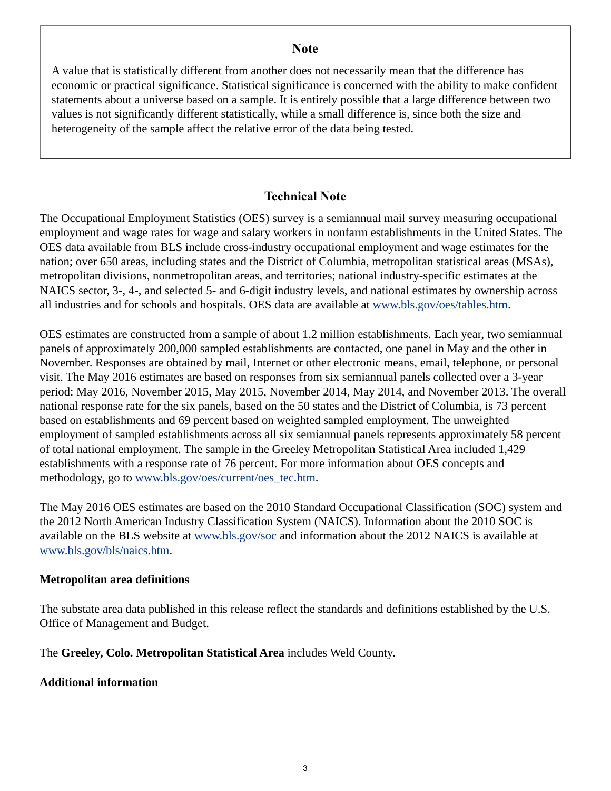## **Note**

<span id="page-2-0"></span>A value that is statistically different from another does not necessarily mean that the difference has economic or practical significance. Statistical significance is concerned with the ability to make confident statements about a universe based on a sample. It is entirely possible that a large difference between two values is not significantly different statistically, while a small difference is, since both the size and heterogeneity of the sample affect the relative error of the data being tested.

# **Technical Note**

The Occupational Employment Statistics (OES) survey is a semiannual mail survey measuring occupational employment and wage rates for wage and salary workers in nonfarm establishments in the United States. The OES data available from BLS include cross-industry occupational employment and wage estimates for the nation; over 650 areas, including states and the District of Columbia, metropolitan statistical areas (MSAs), metropolitan divisions, nonmetropolitan areas, and territories; national industry-specific estimates at the NAICS sector, 3-, 4-, and selected 5- and 6-digit industry levels, and national estimates by ownership across all industries and for schools and hospitals. OES data are available at [www.bls.gov/oes/tables.htm](https://www.bls.gov/oes/tables.htm).

OES estimates are constructed from a sample of about 1.2 million establishments. Each year, two semiannual panels of approximately 200,000 sampled establishments are contacted, one panel in May and the other in November. Responses are obtained by mail, Internet or other electronic means, email, telephone, or personal visit. The May 2016 estimates are based on responses from six semiannual panels collected over a 3-year period: May 2016, November 2015, May 2015, November 2014, May 2014, and November 2013. The overall national response rate for the six panels, based on the 50 states and the District of Columbia, is 73 percent based on establishments and 69 percent based on weighted sampled employment. The unweighted employment of sampled establishments across all six semiannual panels represents approximately 58 percent of total national employment. The sample in the Greeley Metropolitan Statistical Area included 1,429 establishments with a response rate of 76 percent. For more information about OES concepts and methodology, go to [www.bls.gov/oes/current/oes\\_tec.htm](https://www.bls.gov/oes/current/oes_tec.htm).

The May 2016 OES estimates are based on the 2010 Standard Occupational Classification (SOC) system and the 2012 North American Industry Classification System (NAICS). Information about the 2010 SOC is available on the BLS website at [www.bls.gov/soc](https://www.bls.gov/soc) and information about the 2012 NAICS is available at [www.bls.gov/bls/naics.htm.](https://www.bls.gov/bls/naics.htm)

# **Metropolitan area definitions**

The substate area data published in this release reflect the standards and definitions established by the U.S. Office of Management and Budget.

The **Greeley, Colo. Metropolitan Statistical Area** includes Weld County.

# **Additional information**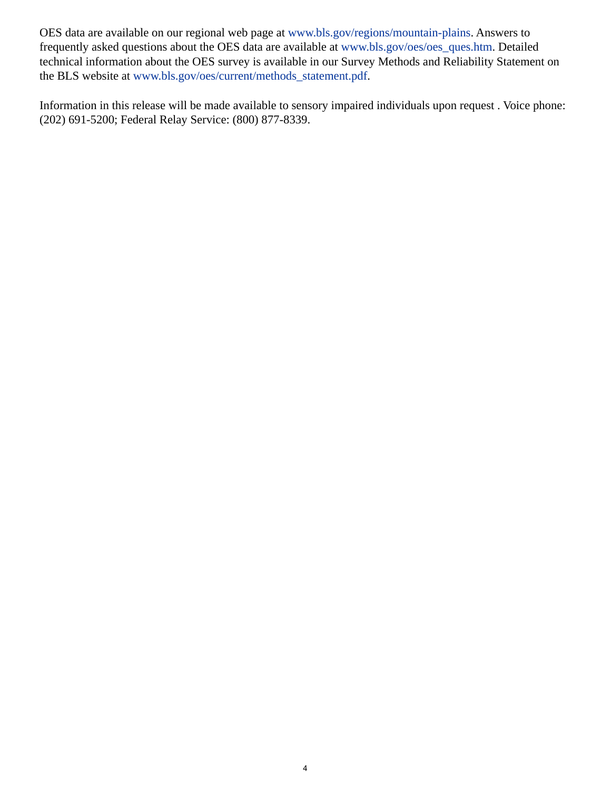OES data are available on our regional web page at [www.bls.gov/regions/mountain-plains.](https://www.bls.gov/regions/mountain-plains) Answers to frequently asked questions about the OES data are available at [www.bls.gov/oes/oes\\_ques.htm](https://www.bls.gov/oes/oes_ques.htm). Detailed technical information about the OES survey is available in our Survey Methods and Reliability Statement on the BLS website at [www.bls.gov/oes/current/methods\\_statement.pdf](https://www.bls.gov/oes/current/methods_statement.pdf).

Information in this release will be made available to sensory impaired individuals upon request . Voice phone: (202) 691-5200; Federal Relay Service: (800) 877-8339.